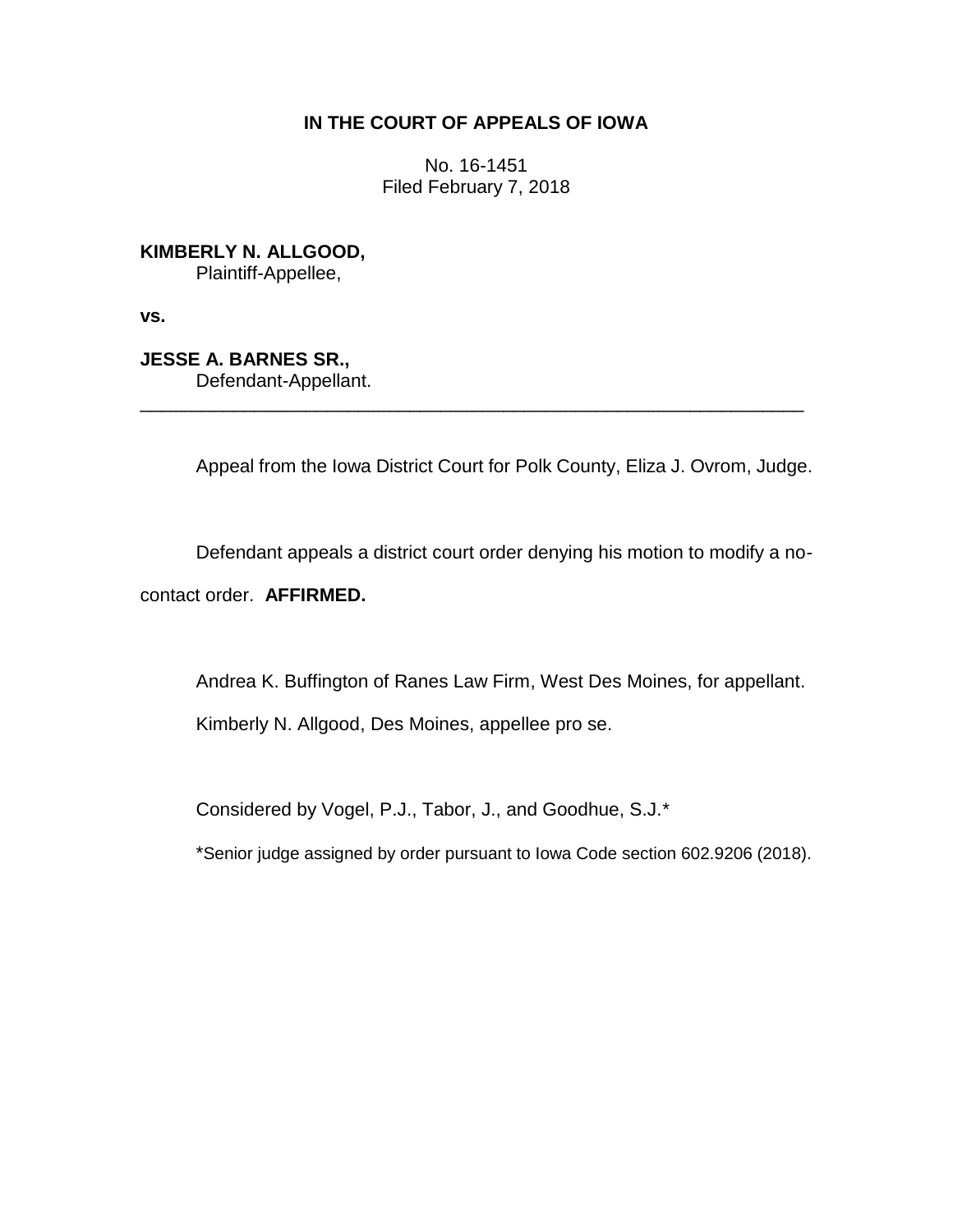## **IN THE COURT OF APPEALS OF IOWA**

No. 16-1451 Filed February 7, 2018

**KIMBERLY N. ALLGOOD,** Plaintiff-Appellee,

**vs.**

**JESSE A. BARNES SR.,** Defendant-Appellant.

Appeal from the Iowa District Court for Polk County, Eliza J. Ovrom, Judge.

\_\_\_\_\_\_\_\_\_\_\_\_\_\_\_\_\_\_\_\_\_\_\_\_\_\_\_\_\_\_\_\_\_\_\_\_\_\_\_\_\_\_\_\_\_\_\_\_\_\_\_\_\_\_\_\_\_\_\_\_\_\_\_\_

Defendant appeals a district court order denying his motion to modify a no-

contact order. **AFFIRMED.**

Andrea K. Buffington of Ranes Law Firm, West Des Moines, for appellant.

Kimberly N. Allgood, Des Moines, appellee pro se.

Considered by Vogel, P.J., Tabor, J., and Goodhue, S.J.\*

\*Senior judge assigned by order pursuant to Iowa Code section 602.9206 (2018).